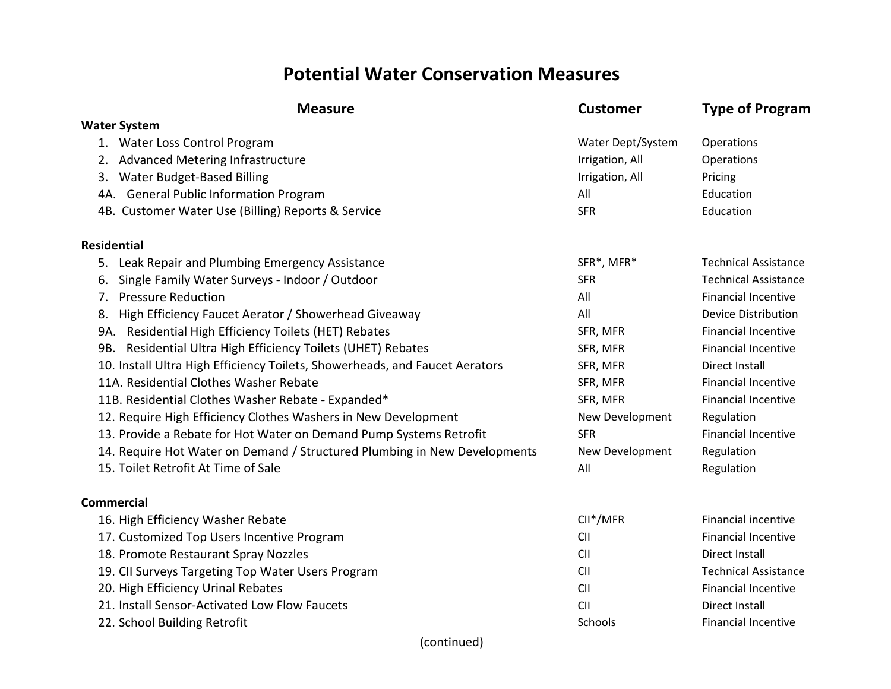## **Potential Water Conservation Measures**

| <b>Measure</b>                                                              | <b>Customer</b>   | <b>Type of Program</b>      |
|-----------------------------------------------------------------------------|-------------------|-----------------------------|
| <b>Water System</b>                                                         |                   |                             |
| 1. Water Loss Control Program                                               | Water Dept/System | Operations                  |
| Advanced Metering Infrastructure<br>2.                                      | Irrigation, All   | Operations                  |
| Water Budget-Based Billing<br>3.                                            | Irrigation, All   | Pricing                     |
| 4A. General Public Information Program                                      | All               | Education                   |
| 4B. Customer Water Use (Billing) Reports & Service                          | <b>SFR</b>        | Education                   |
| <b>Residential</b>                                                          |                   |                             |
| Leak Repair and Plumbing Emergency Assistance<br>5.                         | SFR*, MFR*        | <b>Technical Assistance</b> |
| Single Family Water Surveys - Indoor / Outdoor<br>6.                        | <b>SFR</b>        | <b>Technical Assistance</b> |
| <b>Pressure Reduction</b><br>7.                                             | All               | <b>Financial Incentive</b>  |
| High Efficiency Faucet Aerator / Showerhead Giveaway<br>8.                  | All               | <b>Device Distribution</b>  |
| 9A. Residential High Efficiency Toilets (HET) Rebates                       | SFR, MFR          | <b>Financial Incentive</b>  |
| 9B. Residential Ultra High Efficiency Toilets (UHET) Rebates                | SFR, MFR          | <b>Financial Incentive</b>  |
| 10. Install Ultra High Efficiency Toilets, Showerheads, and Faucet Aerators | SFR, MFR          | Direct Install              |
| 11A. Residential Clothes Washer Rebate                                      | SFR, MFR          | <b>Financial Incentive</b>  |
| 11B. Residential Clothes Washer Rebate - Expanded*                          | SFR, MFR          | <b>Financial Incentive</b>  |
| 12. Require High Efficiency Clothes Washers in New Development              | New Development   | Regulation                  |
| 13. Provide a Rebate for Hot Water on Demand Pump Systems Retrofit          | <b>SFR</b>        | <b>Financial Incentive</b>  |
| 14. Require Hot Water on Demand / Structured Plumbing in New Developments   | New Development   | Regulation                  |
| 15. Toilet Retrofit At Time of Sale                                         | All               | Regulation                  |
| <b>Commercial</b>                                                           |                   |                             |
| 16. High Efficiency Washer Rebate                                           | CII*/MFR          | <b>Financial incentive</b>  |
| 17. Customized Top Users Incentive Program                                  | <b>CII</b>        | <b>Financial Incentive</b>  |
| 18. Promote Restaurant Spray Nozzles                                        | CII               | Direct Install              |
| 19. CII Surveys Targeting Top Water Users Program                           | <b>CII</b>        | <b>Technical Assistance</b> |
| 20. High Efficiency Urinal Rebates                                          | <b>CII</b>        | <b>Financial Incentive</b>  |
| 21. Install Sensor-Activated Low Flow Faucets                               | CII               | Direct Install              |
| 22. School Building Retrofit                                                | Schools           | <b>Financial Incentive</b>  |
| (continued)                                                                 |                   |                             |